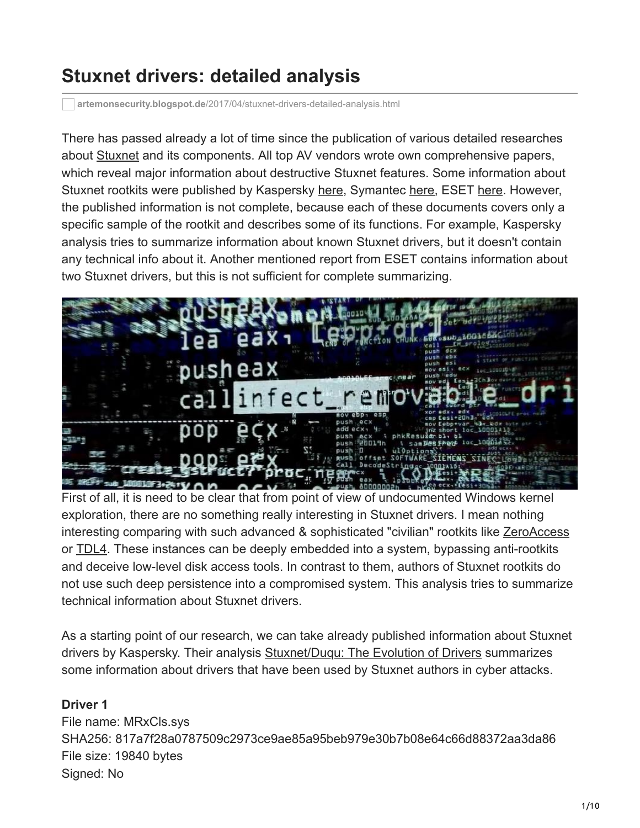# **Stuxnet drivers: detailed analysis**

**artemonsecurity.blogspot.de**[/2017/04/stuxnet-drivers-detailed-analysis.html](http://artemonsecurity.blogspot.de/2017/04/stuxnet-drivers-detailed-analysis.html)

There has passed already a lot of time since the publication of various detailed researches about [Stuxnet](https://en.wikipedia.org/wiki/Stuxnet) and its components. All top AV vendors wrote own comprehensive papers, which reveal major information about destructive Stuxnet features. Some information about Stuxnet rootkits were published by Kaspersky [here](https://securelist.com/analysis/publications/36462/stuxnetduqu-the-evolution-of-drivers/), Symantec [here,](https://www.symantec.com/content/en/us/enterprise/media/security_response/whitepapers/w32_stuxnet_dossier.pdf) ESET [here.](https://www.esetnod32.ru/company/viruslab/analytics/doc/Stuxnet_Under_the_Microscope.pdf) However, the published information is not complete, because each of these documents covers only a specific sample of the rootkit and describes some of its functions. For example, Kaspersky analysis tries to summarize information about known Stuxnet drivers, but it doesn't contain any technical info about it. Another mentioned report from ESET contains information about two Stuxnet drivers, but this is not sufficient for complete summarizing.



First of all, it is need to be clear that from point of view of undocumented Windows kernel exploration, there are no something really interesting in Stuxnet drivers. I mean nothing interesting comparing with such advanced & sophisticated "civilian" rootkits like [ZeroAccess](http://www.kernelmode.info/forum/viewtopic.php?f=16&t=23) or [TDL4](http://www.kernelmode.info/forum/viewtopic.php?f=16&t=19). These instances can be deeply embedded into a system, bypassing anti-rootkits and deceive low-level disk access tools. In contrast to them, authors of Stuxnet rootkits do not use such deep persistence into a compromised system. This analysis tries to summarize technical information about Stuxnet drivers.

As a starting point of our research, we can take already published information about Stuxnet drivers by Kaspersky. Their analysis [Stuxnet/Duqu: The Evolution of Drivers](https://securelist.com/analysis/publications/36462/stuxnetduqu-the-evolution-of-drivers/) summarizes some information about drivers that have been used by Stuxnet authors in cyber attacks.

# **Driver 1**

File name: MRxCls.sys SHA256: 817a7f28a0787509c2973ce9ae85a95beb979e30b7b08e64c66d88372aa3da86 File size: 19840 bytes Signed: No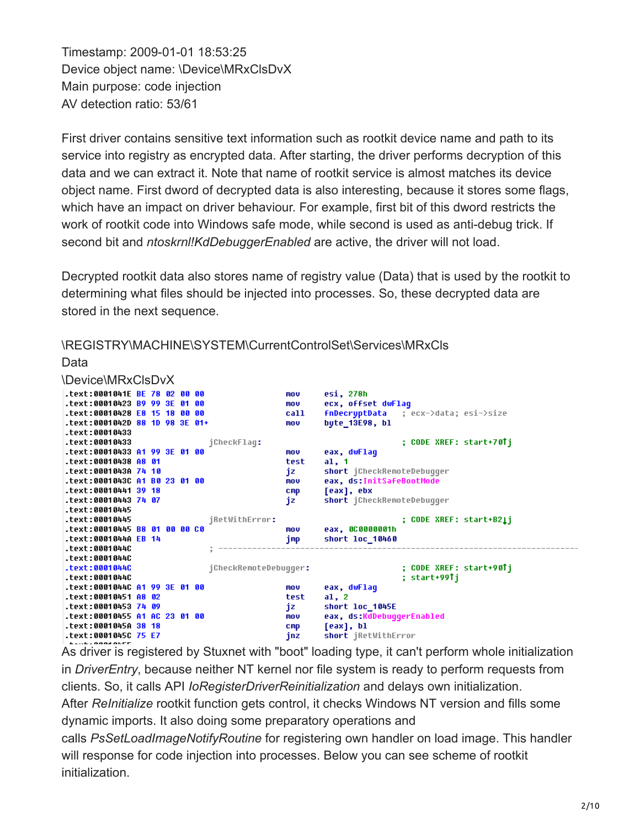Timestamp: 2009-01-01 18:53:25 Device object name: \Device\MRxClsDvX Main purpose: code injection AV detection ratio: 53/61

Data

First driver contains sensitive text information such as rootkit device name and path to its service into registry as encrypted data. After starting, the driver performs decryption of this data and we can extract it. Note that name of rootkit service is almost matches its device object name. First dword of decrypted data is also interesting, because it stores some flags, which have an impact on driver behaviour. For example, first bit of this dword restricts the work of rootkit code into Windows safe mode, while second is used as anti-debug trick. If second bit and *ntoskrnl!KdDebuggerEnabled* are active, the driver will not load.

Decrypted rootkit data also stores name of registry value (Data) that is used by the rootkit to determining what files should be injected into processes. So, these decrypted data are stored in the next sequence.

| \Device\MRxClsDvX                       |                 |                                            |
|-----------------------------------------|-----------------|--------------------------------------------|
| text:0001041E BE 78 02 00 00.           | mov             | esi, 278h                                  |
| text:00010423 B9 99 3E 01 00            | mou             | ecx, offset dwFlaq                         |
| text:00010428 E8 15 18 00 00.           | call            | fnDecryptData ; ecx->data; esi->size       |
| text:0001042D 88 1D 98 3E 01+.          | mov             | byte_13E98, bl                             |
| text:00010433.                          |                 |                                            |
| text:00010433.<br>jCheckFlag:           |                 | ; CODE XREF: start+70Tj                    |
| text:00010433 A1 99 3E 01 00.           | mov             | eax, dwFlag                                |
| text:00010438 A8 01.                    | test            | al, 1                                      |
| text:0001043A 74 10.                    | jz              | short jCheckRemoteDebugger                 |
| text:0001043C A1 B0 23 01 00.           | mov             | eax, ds:InitSafeBootMode                   |
| text:00010441 39 18.                    | $_{\text{cmp}}$ | [eax], ebx                                 |
| text:00010443 74 07.                    | jz.             | short jCheckRemoteDebuqqer                 |
| .text:00010445                          |                 |                                            |
| text:00010445.<br>jRetWithError:        |                 |                                            |
| text:00010445 B8 01 00 00 C0.           |                 | ; CODE XREF: start+B21j<br>eax, 0C0000001h |
| .text:0001044A EB 14                    | mov             |                                            |
|                                         | jmp             | short loc 10460                            |
| .text:0001044C                          |                 |                                            |
| .text:0001044C                          |                 |                                            |
| .text:0001044C<br>jCheckRemoteDebuqqer: |                 | ; CODE XREF: start+90Tj                    |
| .text:0001044C                          |                 | ; start+99Tj                               |
| text:0001044C A1 99 3E 01 00.           | mov             | eax, dwFlaq                                |
| text:00010451 A8 02.                    | test            | a1, 2                                      |
| text:00010453 74 09.                    | jz.             | short loc 1045E                            |
| text:00010455 A1 AC 23 01 00.           | mov             | eax, ds:KdDebuqqerEnabled                  |
| text:0001045A 38 18.                    | CMD             | [eax], bl                                  |
| .text:0001045C 75 E7                    | jnz             | short jRetWithError                        |
|                                         |                 |                                            |

\REGISTRY\MACHINE\SYSTEM\CurrentControlSet\Services\MRxCls

As driver is registered by Stuxnet with "boot" loading type, it can't perform whole initialization in *DriverEntry*, because neither NT kernel nor file system is ready to perform requests from clients. So, it calls API *IoRegisterDriverReinitialization* and delays own initialization. After *ReInitialize* rootkit function gets control, it checks Windows NT version and fills some dynamic imports. It also doing some preparatory operations and calls *PsSetLoadImageNotifyRoutine* for registering own handler on load image. This handler will response for code injection into processes. Below you can see scheme of rootkit initialization.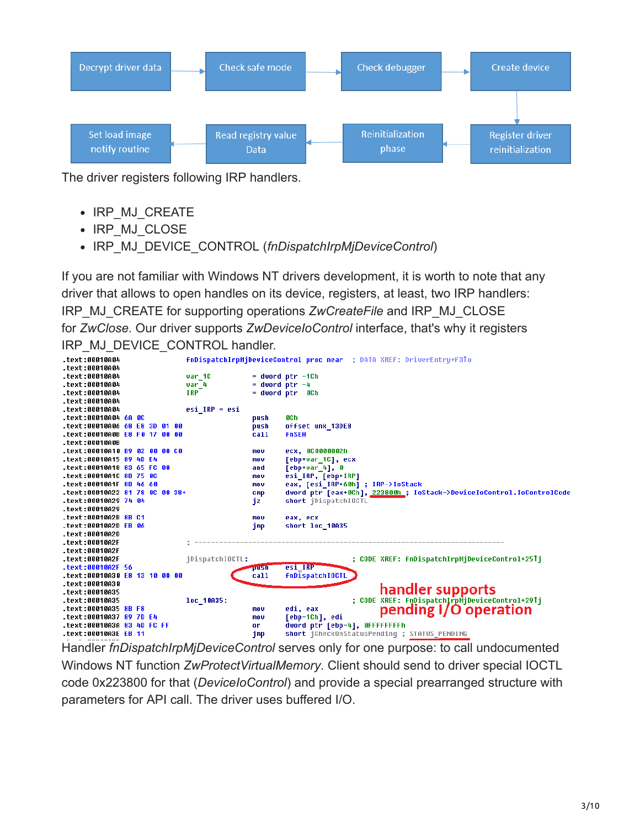

The driver registers following IRP handlers.

- IRP\_MJ\_CREATE
- IRP MJ CLOSE
- IRP\_MJ\_DEVICE\_CONTROL (*fnDispatchIrpMjDeviceControl*)

If you are not familiar with Windows NT drivers development, it is worth to note that any driver that allows to open handles on its device, registers, at least, two IRP handlers: IRP\_MJ\_CREATE for supporting operations *ZwCreateFile* and IRP\_MJ\_CLOSE for *ZwClose*. Our driver supports *ZwDeviceIoControl* interface, that's why it registers IRP\_MJ\_DEVICE\_CONTROL handler.

| text:00010A04.                             |  |  |                     |                    | FnDispatchIrpMjDeviceControl proc near ; DATA XREF: DriverEntry+F3To  |
|--------------------------------------------|--|--|---------------------|--------------------|-----------------------------------------------------------------------|
| text:00010A04.                             |  |  |                     |                    |                                                                       |
| .text:00010A04                             |  |  | var 10              |                    | $=$ dword ptr $-1$ Ch                                                 |
| .text:00010A04                             |  |  | var 4<br><b>IRP</b> | $=$ dword ptr $-4$ |                                                                       |
| .text:00010A04<br>.text:00010A04           |  |  |                     |                    | = dword ptr 0Ch                                                       |
| .text:00010A04                             |  |  | $e$ si IRP = $e$ si |                    |                                                                       |
| text:00010A04 6A 0C.                       |  |  |                     | push               | 8Ch                                                                   |
| text:00010A06 <mark>68 E8 3D 01 00.</mark> |  |  |                     | push               | offset unk 13DE8                                                      |
| text:00010A0B E8 F0 17 00 00.              |  |  |                     | call               | <b>fnSEH</b>                                                          |
| .text:00010A0B                             |  |  |                     |                    |                                                                       |
| text:00010A10 B9 02 00 00 C0.              |  |  |                     | mov                | ecx, 0C0000002h                                                       |
| .text:00010A15 89 4D E4                    |  |  |                     | mov                | [ebp+var 1C], ecx                                                     |
| text:00010A18 83 65 FC 00.                 |  |  |                     | and                | [ebp+var_4], 0                                                        |
| text:00010A1C 8B 75 0C.                    |  |  |                     | mov                | esi IRP, [ebp+IRP]                                                    |
| text:00010A1F 8B 46 60.                    |  |  |                     | mov                | eax, [esi IRP+60h] ; IRP->IoStack                                     |
|                                            |  |  |                     | cmp                | dword ptr [eax+0Ch], 223800h ; IoStack->DeviceIoControl.IoControlCode |
| text:00010A29 74 04.                       |  |  |                     | jΖ                 | short <i>iDispatchIOCTL</i>                                           |
| text:00010A29.                             |  |  |                     |                    |                                                                       |
| text:00010A2B 8B C1.                       |  |  |                     | mov                | eax, ecx                                                              |
| text:00010A2D EB 06.                       |  |  |                     | jmp                | short loc 10A35                                                       |
| .text:00010A2D                             |  |  |                     |                    |                                                                       |
| .text:00010A2F                             |  |  |                     |                    |                                                                       |
| .text:00010A2F                             |  |  |                     |                    |                                                                       |
| text:00010A2F.                             |  |  | jDispatchIOCTL:     |                    | ; CODE XREF: fnDispatchIrpMjDeviceControl+25Tj                        |
| .text:00010A2F 56                          |  |  |                     | pusni              | esi IRP                                                               |
| text:00010A30 E8 13 10 00 00               |  |  |                     | call               | <b>fnDispatchIOCTL</b>                                                |
| .text:00010A30                             |  |  |                     |                    |                                                                       |
| .text:00010A35                             |  |  |                     |                    | handler supports                                                      |
| .text:00010A35                             |  |  | loc 10A35:          |                    | ;        CODE        XREF: fnDispatchIrpMjDeviceControl+29Tj          |
| text:00010A35 8B F8.                       |  |  |                     | mou                | pending I/O operation<br>edi, eax                                     |
| text:00010A37 89 7D E4.                    |  |  |                     | mou                | [ebp-1Ch], edi                                                        |
| text:00010A3A 83 4D FC FF.                 |  |  |                     | or                 | dword ptr [ebp-4], OFFFFFFFFh                                         |
| .text:00010A3E EB 11                       |  |  |                     | jmp                | short iCheckOnStatusPending ; STATUS PENDING                          |

Handler *fnDispatchIrpMjDeviceControl* serves only for one purpose: to call undocumented Windows NT function *ZwProtectVirtualMemory*. Client should send to driver special IOCTL code 0x223800 for that (*DeviceIoControl*) and provide a special prearranged structure with parameters for API call. The driver uses buffered I/O.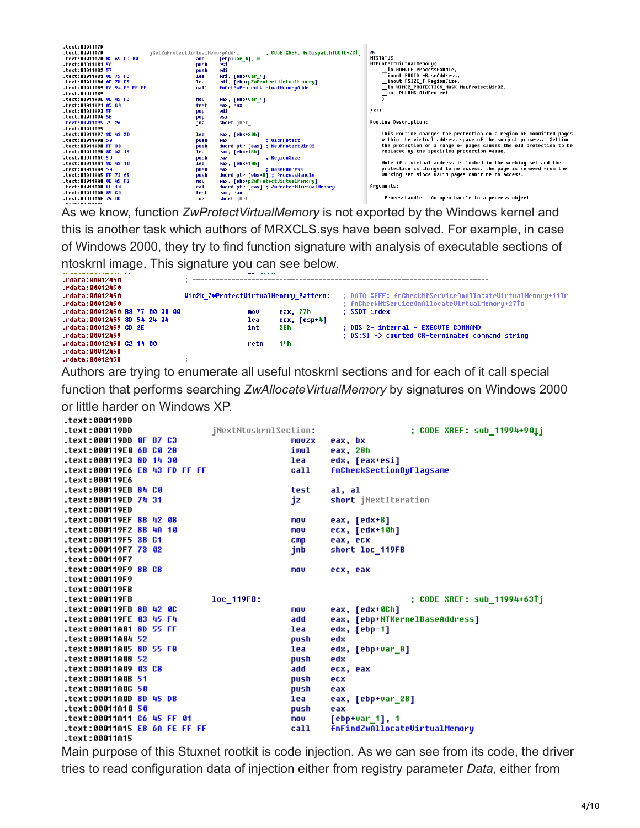| .text:00011A7D<br>text:00011A7D. | jGetZwProtectVirtualMemoryAddr: | ; CODE XREF: fnDispatchIOCTL+2CTj        | $\bullet$                                                          |
|----------------------------------|---------------------------------|------------------------------------------|--------------------------------------------------------------------|
| text:00011A7D 83 65 FC 00.       | and                             | $[ebp+var_4], 0$                         | <b>NTSTATUS</b>                                                    |
| text:00011A81 56.                | push                            |                                          | NtProtectVirtualMemory(                                            |
| text:00011A82 57.                |                                 | esi<br>edi                               | in HANDLE ProcessHandle,                                           |
|                                  | push                            |                                          | inout PUOID *BaseAddress,                                          |
| text:00011A83 8D 75 FC.          | lea                             | esi, [ebp+var_4]                         |                                                                    |
| text:00011A86 8D 7D F8.          | lea                             | edi, [ebp+pZwProtectVirtualMemory]       | inout PSIZE T RegionSize,                                          |
| text:00011A89 E8 94 EE FF FF.    | call                            | fnGetZwProtectVirtualMemoryAddr          | in WIN32_PROTECTION_MASK NewProtectWin32,                          |
| text:00011A89.                   |                                 |                                          | out PULONG OldProtect                                              |
| text:00011A8E 8B 45 FC           | nov                             | eax, [ebp+var_4]                         |                                                                    |
| text:00011A91 85 C0.             | test                            | eax, eax                                 |                                                                    |
|                                  | pop                             | edi                                      | $1***$                                                             |
| .text:00011A94 5E                | pop                             | esi                                      |                                                                    |
| text:00011A95 75 26              | inz                             | short iRet                               | <b>Routine Description:</b>                                        |
| text:00011A95.                   |                                 |                                          |                                                                    |
| text:00011A97 8D 43 20.          | lea                             | eax, [ebx+20h]                           | This routine changes the protection on a region of committed pages |
| text:00011A9A 50.                | push                            | : OldProtect<br>eax                      | within the virtual address space of the subject process. Setting   |
| text:00011A9B FF 30.             | push                            | dword ptr [eax] ; NewProtectWin32        | the protection on a range of pages causes the old protection to be |
| text:00011A9D 8D 43 18.          | lea                             | eax, [ebx+18h]                           | replaced by the specified protection value.                        |
| text:00011AA0 50                 | push                            | ; ReqionSize<br>eax                      |                                                                    |
| text:00011AA1 8D 43 10.          | lea                             | eax, [ebx+10h]                           | Note if a virtual address is locked in the working set and the     |
| text:00011AA4 50.                | push                            | ; BaseAddress<br>eax                     | protection is changed to no access, the page is removed from the   |
| text:00011AA5 FF 73 08.          | push                            | dword ptr [ebx+8] ; ProcessHandle        | working set since valid pages can't be no access.                  |
| text:00011AA8 8B 45 F8.          | nov                             | eax, [ebp+pZwProtectVirtualMemory]       |                                                                    |
| text:00011AAB FF 10.             | call                            | dword ptr [eax] ; ZwProtectUirtualMemory | Arquments:                                                         |
| text:00011AAD 85 C0.             | test                            | eax, eax                                 |                                                                    |
|                                  | inz                             | short jRet                               | ProcessHandle - An open handle to a process object.                |
| <b>tout-8881100E</b>             |                                 |                                          |                                                                    |

As we know, function *ZwProtectVirtualMemory* is not exported by the Windows kernel and this is another task which authors of MRXCLS.sys have been solved. For example, in case of Windows 2000, they try to find function signature with analysis of executable sections of ntoskrnl image. This signature you can see below.

|                               |  |  | sales the control                     |              |                                                           |
|-------------------------------|--|--|---------------------------------------|--------------|-----------------------------------------------------------|
| rdata:00012450.               |  |  |                                       |              |                                                           |
| .rdata:00012450               |  |  |                                       |              |                                                           |
| rdata:00012450.               |  |  | Win2k ZwProtectVirtualMemory Pattern: |              | ; DATA XREF: fnCheckNtServiceOnAllocateVirtualMemory+11Tr |
| rdata:00012450.               |  |  |                                       |              | ; fnCheckNtServiceOnAllocateVirtualMemory+27To            |
| rdata:00012450 B8 77 00 00 00 |  |  | mov                                   | eax, 77h     | : SSDT index                                              |
| .rdata:00012455 8D 54 24 04   |  |  | lea                                   | edx, [esp+4] |                                                           |
| .rdata:00012459 CD 2E         |  |  | int<br>2Eh                            |              | : DOS 2+ internal - EXECUTE COMMAND                       |
| .rdata:00012459               |  |  |                                       |              | ; DS:SI -> counted CR-terminated command string           |
| rdata:0001245B C2 14 00       |  |  | 14h<br>retn                           |              |                                                           |
| .rdata:0001245B               |  |  |                                       |              |                                                           |
| .rdata:0001245B               |  |  |                                       |              |                                                           |

Authors are trying to enumerate all useful ntoskrnl sections and for each of it call special

function that performs searching *ZwAllocateVirtualMemory* by signatures on Windows 2000 or little harder on Windows XP.

| .text:000119DD                                  |                       |                                 |
|-------------------------------------------------|-----------------------|---------------------------------|
| text:000119DD.                                  | jNextNtoskrnlSection: | ; CODE XREF: sub_11994+90Lj     |
| text:000119DD OF B7 C3.                         | <b>MOVZX</b>          | eax, bx                         |
| text:000119E0 6B C0 28.                         | imul                  | eax, 28h                        |
| text:000119E3 8D 14 30                          | lea                   | edx, [eax+esi]                  |
| .text:000119E6 E8 43 FD FF FF                   | call                  | <b>fnCheckSectionByFlagsame</b> |
| .text:000119E6                                  |                       |                                 |
| text:000119EB 84 C0.                            | test                  | al, al                          |
| .text:000119ED 74 31                            | iz                    | short jNextIteration            |
| .text:000119ED                                  |                       |                                 |
| text:000119EF 8B 42 08                          | mov                   | eax, [edx+8]                    |
| text:000119F2 8B 4A 10.                         | mov                   | $ecx, [edx+10h]$                |
| .text:000119F5 3B C1                            | cmp                   | eax, ecx                        |
| text:000119F7 73 02.                            | jnb                   | short loc 119FB                 |
| text:000119F7.                                  |                       |                                 |
| text:000119F9 8B C8.                            | mov                   | ecx, eax                        |
|                                                 |                       |                                 |
| text:000119F9.                                  |                       |                                 |
| .text:000119FB                                  |                       |                                 |
| $-text:000119FB$                                | loc 119FB:            | ; CODE XREF: sub 11994+63↑j     |
| text:000119FB 8B 42 0C                          | <b>MOV</b>            | eax, [edx+0Ch]                  |
| text:000119FE 03 45 F4.                         | add                   | eax, [ebp+NTKernelBaseAddress]  |
| text:00011A01 8D 55 FF.                         | lea                   | edx, [ebp-1]                    |
| text:00011A04 52.                               | push                  | edx                             |
| text:00011A05 8D 55 F8.                         | lea                   | edx, [ebp+var 8]                |
| text:00011A08 52.                               | push                  | edx                             |
|                                                 | add                   | ecx, eax                        |
| text:00011A0B 51.                               | push                  | ecx                             |
| text:00011A0C 50.                               | push                  | eax                             |
| text:00011A0D 8D 45 D8                          | lea                   | eax, [ebp+var 28]               |
| text:00011A10 50.                               | push                  | eax                             |
| text:00011A11 C6 45 FF 01.                      | mo v                  | $[ebp+var_1], 1$                |
| .text:00011A15 E8 6A FE FF FF<br>.text:00011A15 | call                  | fnFindZwAllocateVirtualMemory   |

Main purpose of this Stuxnet rootkit is code injection. As we can see from its code, the driver tries to read configuration data of injection either from registry parameter *Data*, either from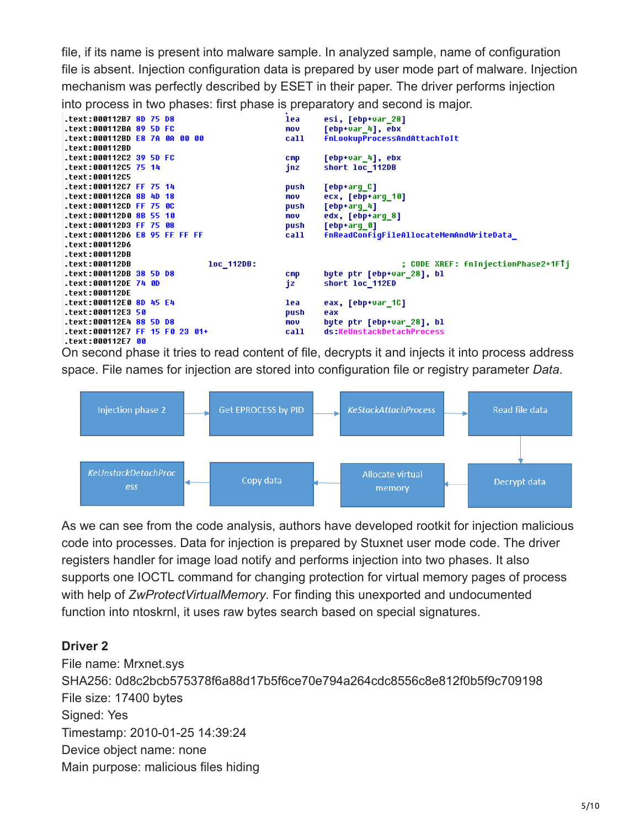file, if its name is present into malware sample. In analyzed sample, name of configuration file is absent. Injection configuration data is prepared by user mode part of malware. Injection mechanism was perfectly described by ESET in their paper. The driver performs injection into process in two phases: first phase is preparatory and second is major.



On second phase it tries to read content of file, decrypts it and injects it into process address space. File names for injection are stored into configuration file or registry parameter *Data*.



As we can see from the code analysis, authors have developed rootkit for injection malicious code into processes. Data for injection is prepared by Stuxnet user mode code. The driver registers handler for image load notify and performs injection into two phases. It also supports one IOCTL command for changing protection for virtual memory pages of process with help of *ZwProtectVirtualMemory*. For finding this unexported and undocumented function into ntoskrnl, it uses raw bytes search based on special signatures.

# **Driver 2**

File name: Mrxnet.sys SHA256: 0d8c2bcb575378f6a88d17b5f6ce70e794a264cdc8556c8e812f0b5f9c709198 File size: 17400 bytes Signed: Yes Timestamp: 2010-01-25 14:39:24 Device object name: none Main purpose: malicious files hiding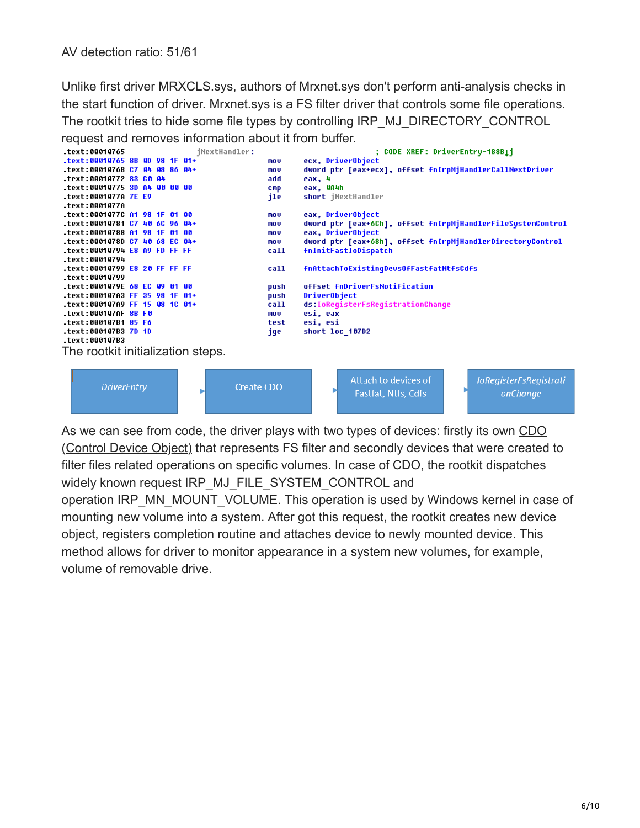Unlike first driver MRXCLS.sys, authors of Mrxnet.sys don't perform anti-analysis checks in the start function of driver. Mrxnet.sys is a FS filter driver that controls some file operations. The rootkit tries to hide some file types by controlling IRP\_MJ\_DIRECTORY\_CONTROL request and removes information about it from buffer.<br>Lext:00010765<br>iNextHandler:



As we can see from code, the driver plays with two types of devices: firstly its own CDO [\(Control Device Object\) that represents FS filter and secondly devices that were created](https://msdn.microsoft.com/en-us/windows/hardware/drivers/ifs/the-filter-driver-s-control-device-object) to filter files related operations on specific volumes. In case of CDO, the rootkit dispatches widely known request IRP\_MJ\_FILE\_SYSTEM\_CONTROL and

operation IRP\_MN\_MOUNT\_VOLUME. This operation is used by Windows kernel in case of mounting new volume into a system. After got this request, the rootkit creates new device object, registers completion routine and attaches device to newly mounted device. This method allows for driver to monitor appearance in a system new volumes, for example, volume of removable drive.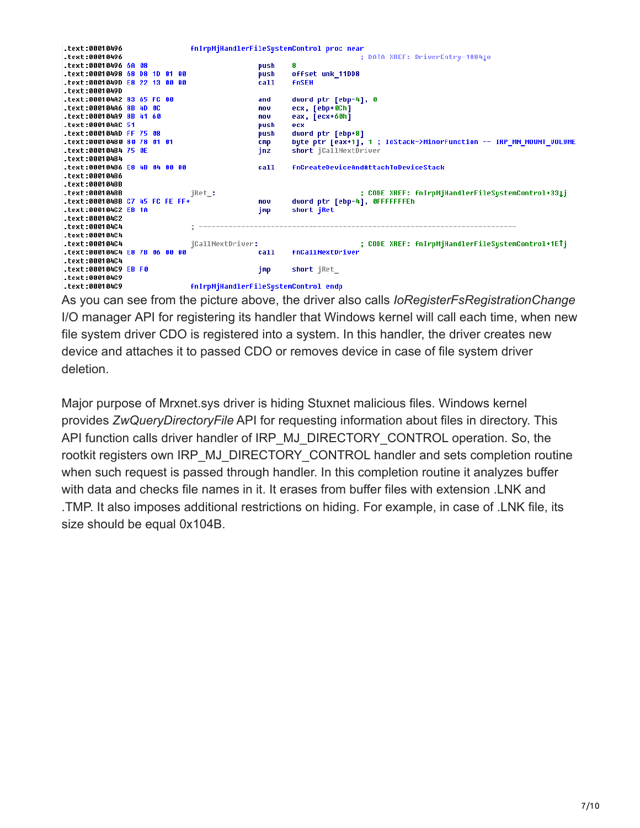

As you can see from the picture above, the driver also calls *IoRegisterFsRegistrationChange* I/O manager API for registering its handler that Windows kernel will call each time, when new file system driver CDO is registered into a system. In this handler, the driver creates new device and attaches it to passed CDO or removes device in case of file system driver deletion.

Major purpose of Mrxnet.sys driver is hiding Stuxnet malicious files. Windows kernel provides *ZwQueryDirectoryFile* API for requesting information about files in directory. This API function calls driver handler of IRP\_MJ\_DIRECTORY\_CONTROL operation. So, the rootkit registers own IRP\_MJ\_DIRECTORY\_CONTROL handler and sets completion routine when such request is passed through handler. In this completion routine it analyzes buffer with data and checks file names in it. It erases from buffer files with extension .LNK and .TMP. It also imposes additional restrictions on hiding. For example, in case of .LNK file, its size should be equal 0x104B.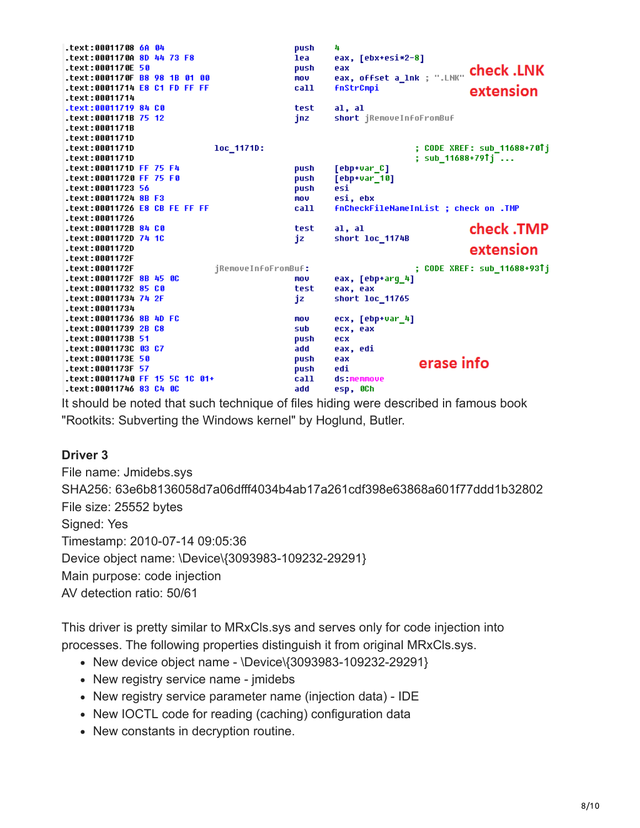.text:00011708 6A 04 push 4 eax, [ebx+esi\*2-8] .text:0001170A 8D 44 73 F8 lea eax, offset a\_1nk; ".LNK" **check.LNK** .text:0001170E 50 push .text:0001170F B8 98 1B 01 00 mnu .text:00011714 E8 C1 FD FF FF call **fnStrCmpi** extension .text:00011714 .text:00011719 84 CO test  $a1. a1$ .text:0001171B 75 12 jnz short jRemoveInfoFromBuf .text:0001171B .text:0001171D .text:0001171D loc\_1171D: ; CODE XREF: sub\_11688+70Tj .text:0001171D ; sub\_11688+79↑j ... .text:0001171D FF 75 F4  $[$ ebp+var $_$ C] push  $[$ eb $p$ +var $[10]$ .text:00011720 FF 75 F0 push .text:00011723 56 .<br>push  $\overline{e}$ si $\overline{ }$ .text:00011724 8B F3 mou esi, ebx .text:00011726 E8 CB FE FF FF fnCheckFileNameInList ; check on .TMP call .text:00011726 check .TMP .text:0001172B 84 C0 test  $a1, a1$ .text:0001172D 74 1C short 1oc\_1174B iz .text:0001172D extension .text:0001172F ; CODE XREF: sub\_11688+93↑j .text:0001172F jRemoveInfoFromBuf: .text:0001172F 8B 45 0C mou eax, [ebp+arg\_4] .text:00011732 85 CO test eax, eax .text:00011734 74 2F jz short loc\_11765 .text:00011734 .text:00011736 8B 4D FC ecx, [ebp+var\_4] mou .text:00011739 2B C8 sub ecx, eax .text:0001173B 51 push ecx .text:0001173C 03 C7 eax, edi add .text:0001173E 50 push eax erase info .text:0001173F 57 push edi .text:00011740 FF 15 5C 1C 01+  $cal1$ ds:memmove .text:00011746 83 C4 0C add esp, OCh

It should be noted that such technique of files hiding were described in famous book "Rootkits: Subverting the Windows kernel" by Hoglund, Butler.

#### **Driver 3**

File name: Jmidebs.sys SHA256: 63e6b8136058d7a06dfff4034b4ab17a261cdf398e63868a601f77ddd1b32802 File size: 25552 bytes Signed: Yes Timestamp: 2010-07-14 09:05:36 Device object name: \Device\{3093983-109232-29291} Main purpose: code injection AV detection ratio: 50/61

This driver is pretty similar to MRxCls.sys and serves only for code injection into processes. The following properties distinguish it from original MRxCls.sys.

- New device object name \Device\{3093983-109232-29291}
- New registry service name imidebs
- New registry service parameter name (injection data) IDE
- New IOCTL code for reading (caching) configuration data
- New constants in decryption routine.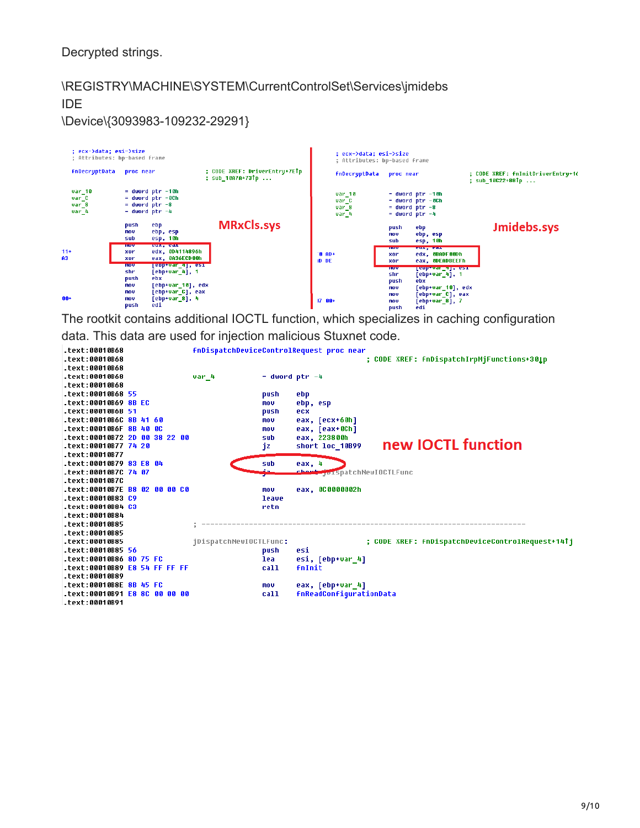Decrypted strings.

# \REGISTRY\MACHINE\SYSTEM\CurrentControlSet\Services\jmidebs IDE

\Device\{3093983-109232-29291}



The rootkit contains additional IOCTL function, which specializes in caching configuration data. This data are used for injection malicious Stuxnet code.